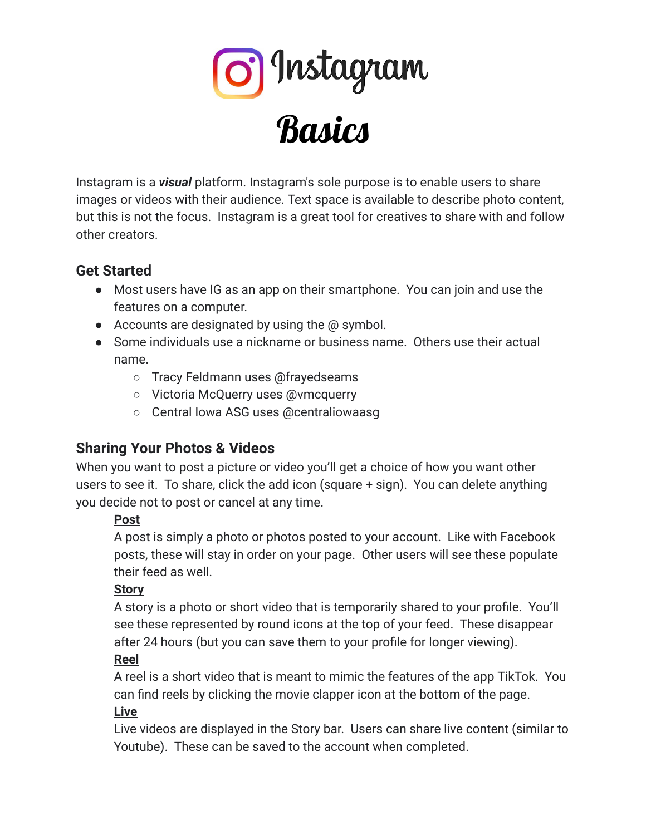

Instagram is a *visual* platform. Instagram's sole purpose is to enable users to share images or videos with their audience. Text space is available to describe photo content, but this is not the focus. Instagram is a great tool for creatives to share with and follow other creators.

# **Get Started**

- Most users have IG as an app on their smartphone. You can join and use the features on a computer.
- $\bullet$  Accounts are designated by using the  $\omega$  symbol.
- Some individuals use a nickname or business name. Others use their actual name.
	- Tracy Feldmann uses @frayedseams
	- Victoria McQuerry uses @vmcquerry
	- Central Iowa ASG uses @centraliowaasg

# **Sharing Your Photos & Videos**

When you want to post a picture or video you'll get a choice of how you want other users to see it. To share, click the add icon (square + sign). You can delete anything you decide not to post or cancel at any time.

### **Post**

A post is simply a photo or photos posted to your account. Like with Facebook posts, these will stay in order on your page. Other users will see these populate their feed as well.

### **Story**

A story is a photo or short video that is temporarily shared to your profile. You'll see these represented by round icons at the top of your feed. These disappear after 24 hours (but you can save them to your profile for longer viewing).

#### **Reel**

A reel is a short video that is meant to mimic the features of the app TikTok. You can find reels by clicking the movie clapper icon at the bottom of the page.

#### **Live**

Live videos are displayed in the Story bar. Users can share live content (similar to Youtube). These can be saved to the account when completed.